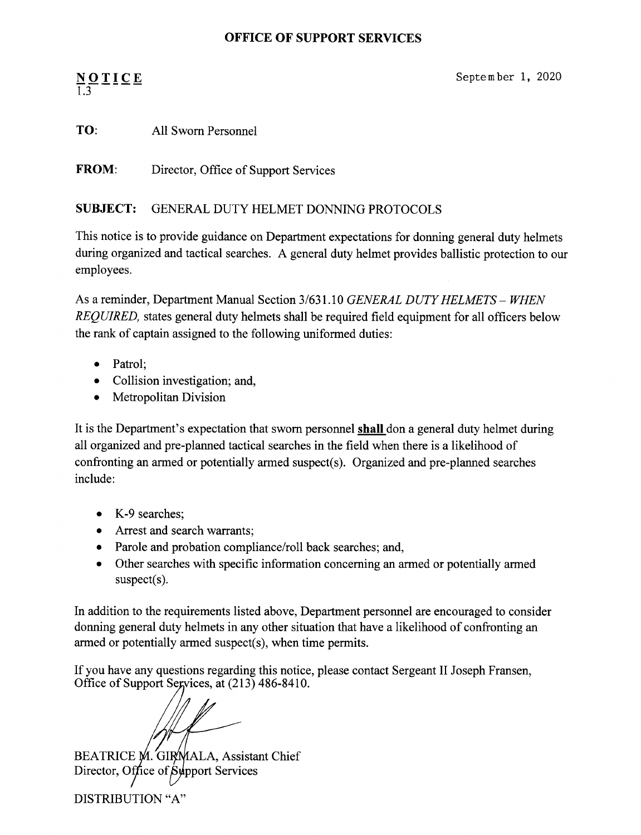#### **OFFICE OF SUPPORT** SERVICES

# $\underline{N}_{1} \underline{O}$   $\underline{I}$   $\underline{I}$   $\underline{C}$   $\underline{E}$

September 1, 2020

### TO: All Sworn Personnel

FROM: Director, Office of Support Services

#### SUBJECT: GENERAL DUTY HELMET DONNING PROTOCOLS

This notice is to provide guidance on Department expectations for donning general duty helmets during organized and tactical searches. A general duty helmet provides ballistic protection to our employees.

As a reminder, Department Manual Section 3/631.10 *GENERAL DUTY HELMETS - WHEN REQUIRED,* states general duty helmets shall be required field equipment for all officers below the rank of captain assigned to the following uniformed duties:

- Patrol;
- Collision investigation; and,
- Metropolitan Division

It is the Department's expectation that sworn personnel **shall** don a general duty helmet during all organized and pre-planned tactical searches in the field when there is a likelihood of confronting an armed or potentially armed suspect(s). Organized and pre-planned searches include:

- K-9 searches:
- Arrest and search warrants;
- Parole and probation compliance/roll back searches; and,
- Other searches with specific information concerning an armed or potentially armed suspect(s).

In addition to the requirements listed above, Department personnel are encouraged to consider donning general duty helmets in any other situation that have a likelihood of confronting an armed or potentially armed suspect(s), when time permits.

If you have any questions regarding this notice, please contact Sergeant II Joseph Fransen, Office of Support Segvices, at  $(213)$  486-8410.

BEATRICE M. GIRMALA, Assistant Chief Director, Office of Support Services DISTRIBUTION "A"